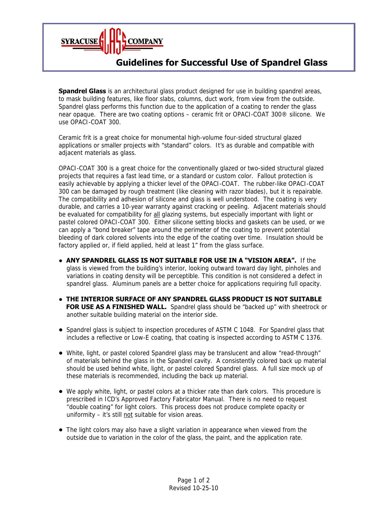

## **Guidelines for Successful Use of Spandrel Glass**

**Spandrel Glass** is an architectural glass product designed for use in building spandrel areas, to mask building features, like floor slabs, columns, duct work, from view from the outside. Spandrel glass performs this function due to the application of a coating to render the glass near opaque. There are two coating options – ceramic frit or OPACI-COAT 300® silicone. We use OPACI-COAT 300.

Ceramic frit is a great choice for monumental high-volume four-sided structural glazed applications or smaller projects with "standard" colors. It's as durable and compatible with adjacent materials as glass.

OPACI-COAT 300 is a great choice for the conventionally glazed or two-sided structural glazed projects that requires a fast lead time, or a standard or custom color. Fallout protection is easily achievable by applying a thicker level of the OPACI-COAT. The rubber-like OPACI-COAT 300 can be damaged by rough treatment (like cleaning with razor blades), but it is repairable. The compatibility and adhesion of silicone and glass is well understood. The coating is very durable, and carries a 10-year warranty against cracking or peeling. Adjacent materials should be evaluated for compatibility for all glazing systems, but especially important with light or pastel colored OPACI-COAT 300. Either silicone setting blocks and gaskets can be used, or we can apply a "bond breaker" tape around the perimeter of the coating to prevent potential bleeding of dark colored solvents into the edge of the coating over time. Insulation should be factory applied or, if field applied, held at least 1" from the glass surface.

- **● ANY SPANDREL GLASS IS NOT SUITABLE FOR USE IN A "VISION AREA".** If the glass is viewed from the building's interior, looking outward toward day light, pinholes and variations in coating density will be perceptible. This condition is not considered a defect in spandrel glass. Aluminum panels are a better choice for applications requiring full opacity.
- **● THE INTERIOR SURFACE OF ANY SPANDREL GLASS PRODUCT IS NOT SUITABLE FOR USE AS A FINISHED WALL.** Spandrel glass should be "backed up" with sheetrock or another suitable building material on the interior side.
- Spandrel glass is subject to inspection procedures of ASTM C 1048. For Spandrel glass that includes a reflective or Low-E coating, that coating is inspected according to ASTM C 1376.
- White, light, or pastel colored Spandrel glass may be translucent and allow "read-through" of materials behind the glass in the Spandrel cavity. A consistently colored back up material should be used behind white, light, or pastel colored Spandrel glass. A full size mock up of these materials is recommended, including the back up material.
- We apply white, light, or pastel colors at a thicker rate than dark colors. This procedure is prescribed in ICD's Approved Factory Fabricator Manual. There is no need to request "double coating" for light colors. This process does not produce complete opacity or uniformity  $-$  it's still not suitable for vision areas.
- The light colors may also have a slight variation in appearance when viewed from the outside due to variation in the color of the glass, the paint, and the application rate.